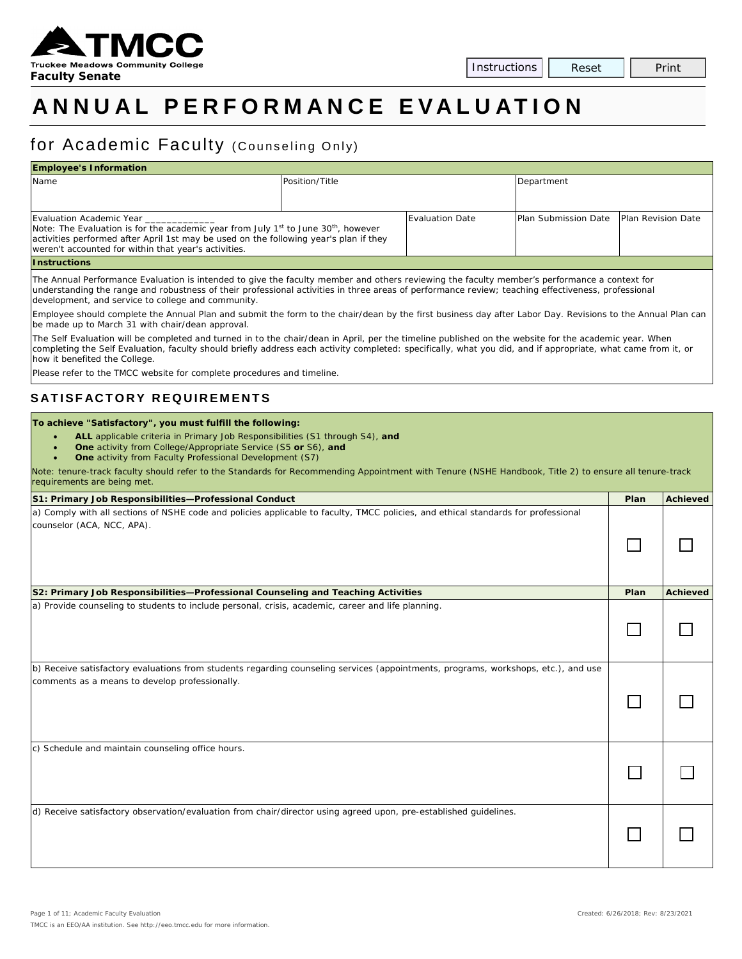

# **ANNUAL PERFORMANCE E VALUATION**

## for Academic Faculty (Counseling Only)

| <b>Employee's Information</b>                                                                              |                |                 |                             |                           |  |  |  |  |  |
|------------------------------------------------------------------------------------------------------------|----------------|-----------------|-----------------------------|---------------------------|--|--|--|--|--|
| Name                                                                                                       | Position/Title |                 | Department                  |                           |  |  |  |  |  |
|                                                                                                            |                |                 |                             |                           |  |  |  |  |  |
|                                                                                                            |                |                 |                             |                           |  |  |  |  |  |
| Evaluation Academic Year                                                                                   |                | Evaluation Date | <b>Plan Submission Date</b> | <b>Plan Revision Date</b> |  |  |  |  |  |
| Note: The Evaluation is for the academic year from July 1 <sup>st</sup> to June 30 <sup>th</sup> , however |                |                 |                             |                           |  |  |  |  |  |
| activities performed after April 1st may be used on the following year's plan if they                      |                |                 |                             |                           |  |  |  |  |  |
| weren't accounted for within that year's activities.                                                       |                |                 |                             |                           |  |  |  |  |  |
| <b>Instructions</b>                                                                                        |                |                 |                             |                           |  |  |  |  |  |

The Annual Performance Evaluation is intended to give the faculty member and others reviewing the faculty member's performance a context for understanding the range and robustness of their professional activities in three areas of performance review; teaching effectiveness, professional development, and service to college and community.

Employee should complete the Annual Plan and submit the form to the chair/dean by the first business day after Labor Day. Revisions to the Annual Plan can be made up to March 31 with chair/dean approval.

The Self Evaluation will be completed and turned in to the chair/dean in April, per the timeline published on the website for the academic year. When completing the Self Evaluation, faculty should briefly address each activity completed: specifically, what you did, and if appropriate, what came from it, or how it benefited the College.

Please refer to the TMCC website for complete procedures and timeline.

### **SATISFACTORY REQUIREMENTS**

#### **To achieve "Satisfactory", you must fulfill the following:**

- **ALL** applicable criteria in Primary Job Responsibilities (S1 through S4), *and*
	- **One** activity from College/Appropriate Service (S5 *or* S6), *and*
	- **One** activity from Faculty Professional Development (S7)

*Note: tenure-track faculty should refer to the Standards for Recommending Appointment with Tenure (NSHE Handbook, Title 2) to ensure all tenure-track requirements are being met.*

| S1: Primary Job Responsibilities-Professional Conduct                                                                                                                                | Plan | <b>Achieved</b> |
|--------------------------------------------------------------------------------------------------------------------------------------------------------------------------------------|------|-----------------|
| a) Comply with all sections of NSHE code and policies applicable to faculty, TMCC policies, and ethical standards for professional<br>counselor (ACA, NCC, APA).                     |      |                 |
| S2: Primary Job Responsibilities-Professional Counseling and Teaching Activities                                                                                                     | Plan | <b>Achieved</b> |
| a) Provide counseling to students to include personal, crisis, academic, career and life planning.                                                                                   |      |                 |
| b) Receive satisfactory evaluations from students regarding counseling services (appointments, programs, workshops, etc.), and use<br>comments as a means to develop professionally. |      |                 |
| c) Schedule and maintain counseling office hours.                                                                                                                                    |      |                 |
| d) Receive satisfactory observation/evaluation from chair/director using agreed upon, pre-established guidelines.                                                                    |      |                 |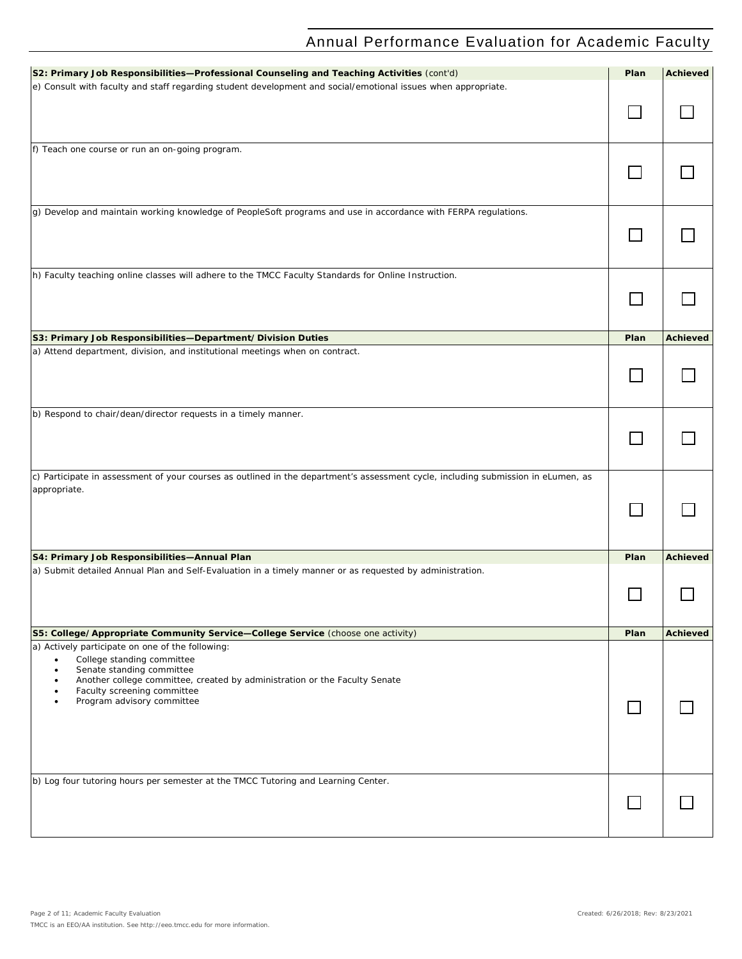| S2: Primary Job Responsibilities-Professional Counseling and Teaching Activities (cont'd)                                         | Plan | <b>Achieved</b> |
|-----------------------------------------------------------------------------------------------------------------------------------|------|-----------------|
| e) Consult with faculty and staff regarding student development and social/emotional issues when appropriate.                     |      |                 |
|                                                                                                                                   |      |                 |
|                                                                                                                                   |      |                 |
|                                                                                                                                   |      |                 |
|                                                                                                                                   |      |                 |
| f) Teach one course or run an on-going program.                                                                                   |      |                 |
|                                                                                                                                   |      |                 |
|                                                                                                                                   |      |                 |
|                                                                                                                                   |      |                 |
|                                                                                                                                   |      |                 |
| g) Develop and maintain working knowledge of PeopleSoft programs and use in accordance with FERPA regulations.                    |      |                 |
|                                                                                                                                   |      |                 |
|                                                                                                                                   |      |                 |
|                                                                                                                                   |      |                 |
|                                                                                                                                   |      |                 |
| h) Faculty teaching online classes will adhere to the TMCC Faculty Standards for Online Instruction.                              |      |                 |
|                                                                                                                                   |      |                 |
|                                                                                                                                   |      |                 |
|                                                                                                                                   |      |                 |
|                                                                                                                                   |      |                 |
| S3: Primary Job Responsibilities-Department/Division Duties                                                                       | Plan | <b>Achieved</b> |
| a) Attend department, division, and institutional meetings when on contract.                                                      |      |                 |
|                                                                                                                                   |      |                 |
|                                                                                                                                   |      |                 |
|                                                                                                                                   |      |                 |
|                                                                                                                                   |      |                 |
| b) Respond to chair/dean/director requests in a timely manner.                                                                    |      |                 |
|                                                                                                                                   |      |                 |
|                                                                                                                                   |      |                 |
|                                                                                                                                   |      |                 |
|                                                                                                                                   |      |                 |
| c) Participate in assessment of your courses as outlined in the department's assessment cycle, including submission in eLumen, as |      |                 |
| appropriate.                                                                                                                      |      |                 |
|                                                                                                                                   |      |                 |
|                                                                                                                                   |      |                 |
|                                                                                                                                   |      |                 |
|                                                                                                                                   |      |                 |
|                                                                                                                                   |      |                 |
| S4: Primary Job Responsibilities-Annual Plan                                                                                      | Plan | <b>Achieved</b> |
| a) Submit detailed Annual Plan and Self-Evaluation in a timely manner or as requested by administration.                          |      |                 |
|                                                                                                                                   |      |                 |
|                                                                                                                                   |      |                 |
|                                                                                                                                   |      |                 |
|                                                                                                                                   |      |                 |
| S5: College/Appropriate Community Service-College Service (choose one activity)                                                   | Plan | <b>Achieved</b> |
| a) Actively participate on one of the following:                                                                                  |      |                 |
| College standing committee<br>$\bullet$                                                                                           |      |                 |
| Senate standing committee<br>$\bullet$<br>Another college committee, created by administration or the Faculty Senate<br>٠         |      |                 |
| Faculty screening committee<br>٠                                                                                                  |      |                 |
| Program advisory committee<br>$\bullet$                                                                                           |      |                 |
|                                                                                                                                   |      |                 |
|                                                                                                                                   |      |                 |
|                                                                                                                                   |      |                 |
|                                                                                                                                   |      |                 |
|                                                                                                                                   |      |                 |
|                                                                                                                                   |      |                 |
| b) Log four tutoring hours per semester at the TMCC Tutoring and Learning Center.                                                 |      |                 |
|                                                                                                                                   |      |                 |
|                                                                                                                                   |      |                 |
|                                                                                                                                   |      |                 |
|                                                                                                                                   |      |                 |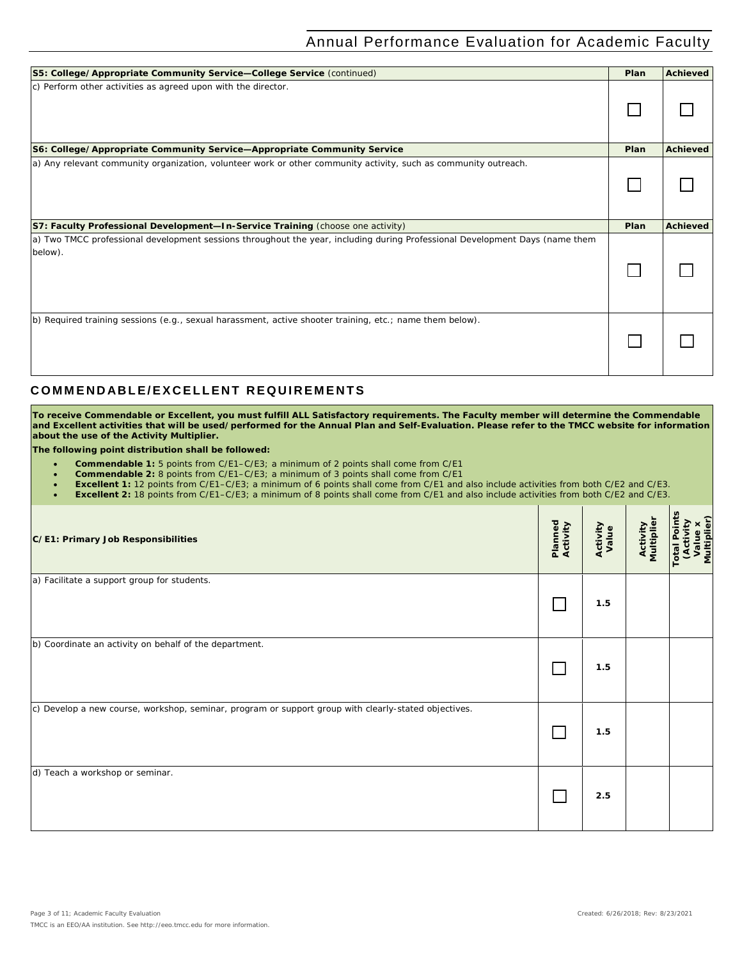| S5: College/Appropriate Community Service-College Service (continued)                                                                   | Plan | <b>Achieved</b> |
|-----------------------------------------------------------------------------------------------------------------------------------------|------|-----------------|
| c) Perform other activities as agreed upon with the director.                                                                           |      |                 |
| S6: College/Appropriate Community Service-Appropriate Community Service                                                                 | Plan | <b>Achieved</b> |
| a) Any relevant community organization, volunteer work or other community activity, such as community outreach.                         |      |                 |
| S7: Faculty Professional Development-In-Service Training (choose one activity)                                                          | Plan | <b>Achieved</b> |
| a) Two TMCC professional development sessions throughout the year, including during Professional Development Days (name them<br>below). |      |                 |
|                                                                                                                                         |      |                 |

#### **C OMMENDABLE/EXCELLENT REQUIREMENTS**

**To receive Commendable or Excellent, you must fulfill ALL Satisfactory requirements. The Faculty member will determine the Commendable and Excellent activities that will be used/performed for the Annual Plan and Self-Evaluation. Please refer to the TMCC website for information about the use of the Activity Multiplier.**

**The following point distribution shall be followed:**

- **Commendable 1:** 5 points from C/E1–C/E3; a minimum of 2 points shall come from C/E1
- **Commendable 2:** 8 points from C/E1–C/E3; a minimum of 3 points shall come from C/E1
- **Excellent 1:** 12 points from C/E1–C/E3; a minimum of 6 points shall come from C/E1 and also include activities from both C/E2 and C/E3.
- **Excellent 2:** 18 points from C/E1–C/E3; a minimum of 8 points shall come from C/E1 and also include activities from both C/E2 and C/E3.

| C/E1: Primary Job Responsibilities                                                                   | Planned<br>Activity | Activity<br>Value | <b>Activity</b><br>Multiplier | <b>Total Points</b><br>Multiplier)<br><b>(Activity</b><br>$\mathbf{u}$<br>Ξ |
|------------------------------------------------------------------------------------------------------|---------------------|-------------------|-------------------------------|-----------------------------------------------------------------------------|
| a) Facilitate a support group for students.                                                          |                     | 1.5               |                               |                                                                             |
| b) Coordinate an activity on behalf of the department.                                               |                     | 1.5               |                               |                                                                             |
| c) Develop a new course, workshop, seminar, program or support group with clearly-stated objectives. |                     | 1.5               |                               |                                                                             |
| d) Teach a workshop or seminar.                                                                      |                     | 2.5               |                               |                                                                             |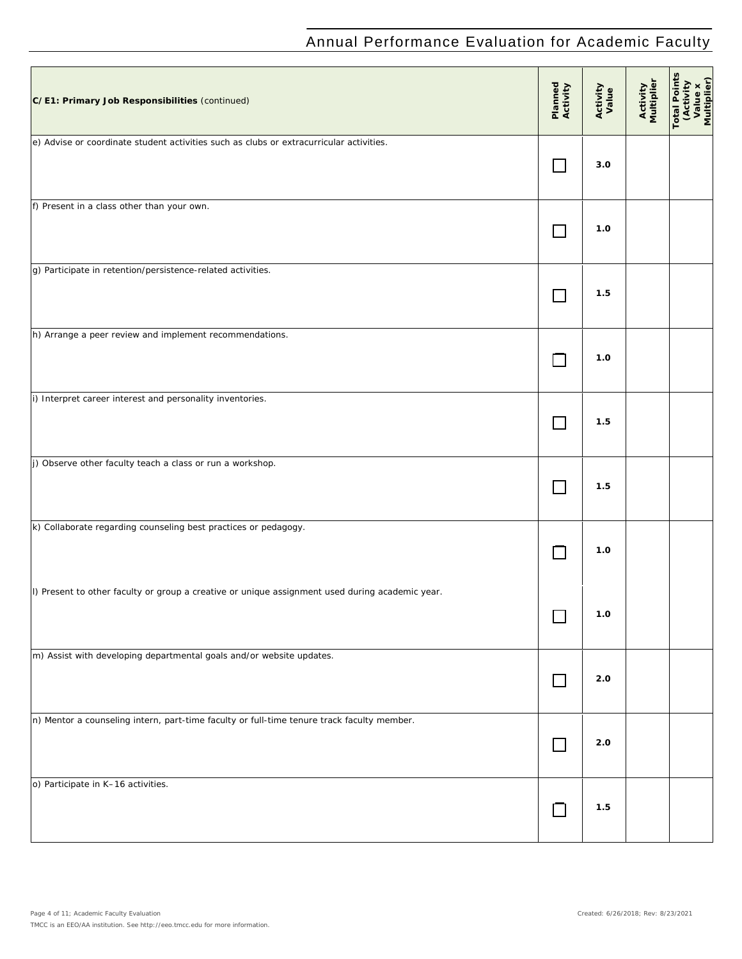| C/E1: Primary Job Responsibilities (continued)                                                  | Planned<br>Activity | Activity<br>Value | Activity<br>Multiplier | Total Points<br>CActivity<br>Value x<br>Multiplier) |
|-------------------------------------------------------------------------------------------------|---------------------|-------------------|------------------------|-----------------------------------------------------|
| e) Advise or coordinate student activities such as clubs or extracurricular activities.         |                     | 3.0               |                        |                                                     |
| f) Present in a class other than your own.                                                      | <b>College</b>      | 1.0               |                        |                                                     |
| g) Participate in retention/persistence-related activities.                                     |                     | 1.5               |                        |                                                     |
| h) Arrange a peer review and implement recommendations.                                         |                     | 1.0               |                        |                                                     |
| i) Interpret career interest and personality inventories.                                       |                     | 1.5               |                        |                                                     |
| j) Observe other faculty teach a class or run a workshop.                                       |                     | 1.5               |                        |                                                     |
| k) Collaborate regarding counseling best practices or pedagogy.                                 |                     | 1.0               |                        |                                                     |
| I) Present to other faculty or group a creative or unique assignment used during academic year. |                     | 1.0               |                        |                                                     |
| m) Assist with developing departmental goals and/or website updates.                            | $\Box$              | 2.0               |                        |                                                     |
| n) Mentor a counseling intern, part-time faculty or full-time tenure track faculty member.      | $\Box$              | 2.0               |                        |                                                     |
| o) Participate in K-16 activities.                                                              | $\Box$              | 1.5               |                        |                                                     |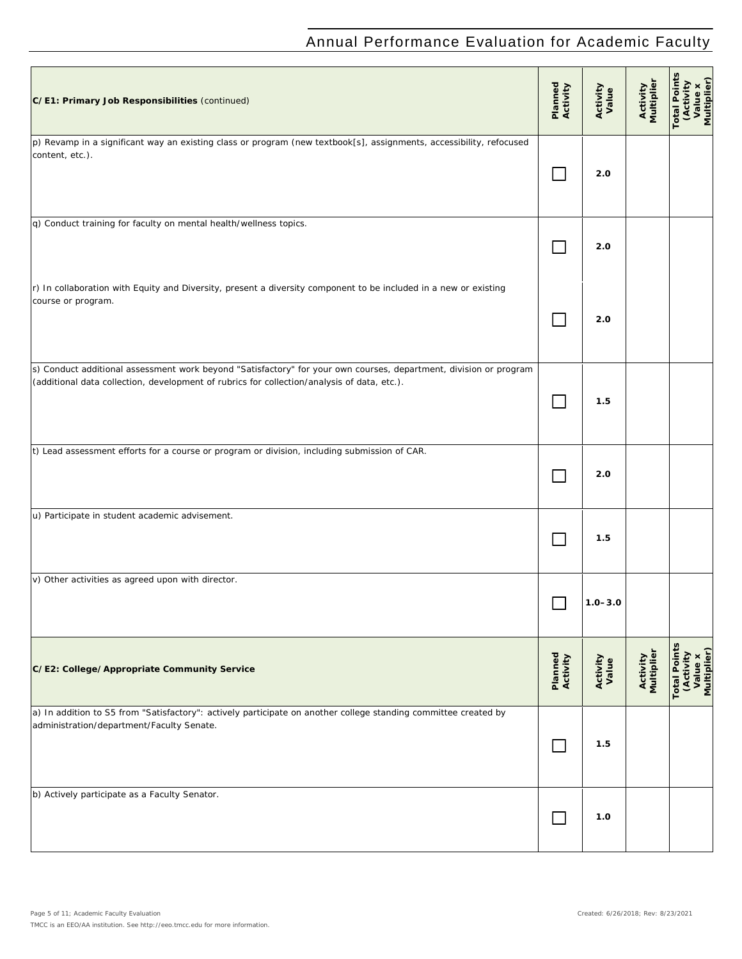| C/E1: Primary Job Responsibilities (continued)                                                                                                                                                                   | Planned<br>Activity | Activity<br>Value | Activity<br>Multiplier        | otal Point<br>(Activity<br>Value x<br>Multiplier)              |
|------------------------------------------------------------------------------------------------------------------------------------------------------------------------------------------------------------------|---------------------|-------------------|-------------------------------|----------------------------------------------------------------|
| p) Revamp in a significant way an existing class or program (new textbook[s], assignments, accessibility, refocused<br>content, etc.).                                                                           |                     | 2.0               |                               |                                                                |
| q) Conduct training for faculty on mental health/wellness topics.                                                                                                                                                |                     | 2.0               |                               |                                                                |
| r) In collaboration with Equity and Diversity, present a diversity component to be included in a new or existing<br>course or program.                                                                           |                     | 2.0               |                               |                                                                |
| s) Conduct additional assessment work beyond "Satisfactory" for your own courses, department, division or program<br>(additional data collection, development of rubrics for collection/analysis of data, etc.). |                     | 1.5               |                               |                                                                |
| t) Lead assessment efforts for a course or program or division, including submission of CAR.                                                                                                                     | a a                 | 2.0               |                               |                                                                |
| u) Participate in student academic advisement.                                                                                                                                                                   |                     | 1.5               |                               |                                                                |
| v) Other activities as agreed upon with director.                                                                                                                                                                |                     | $1.0 - 3.0$       |                               |                                                                |
| C/E2: College/Appropriate Community Service                                                                                                                                                                      | Planned<br>Activity | Activity<br>Value | <b>Activity</b><br>Multiplier | S<br><b>Total Point</b><br>Value x<br>Multiplier)<br>(Activity |
| a) In addition to S5 from "Satisfactory": actively participate on another college standing committee created by<br>administration/department/Faculty Senate.                                                     | $\mathsf{L}$        | 1.5               |                               |                                                                |
| b) Actively participate as a Faculty Senator.                                                                                                                                                                    | $\mathbf{I}$        | 1.0               |                               |                                                                |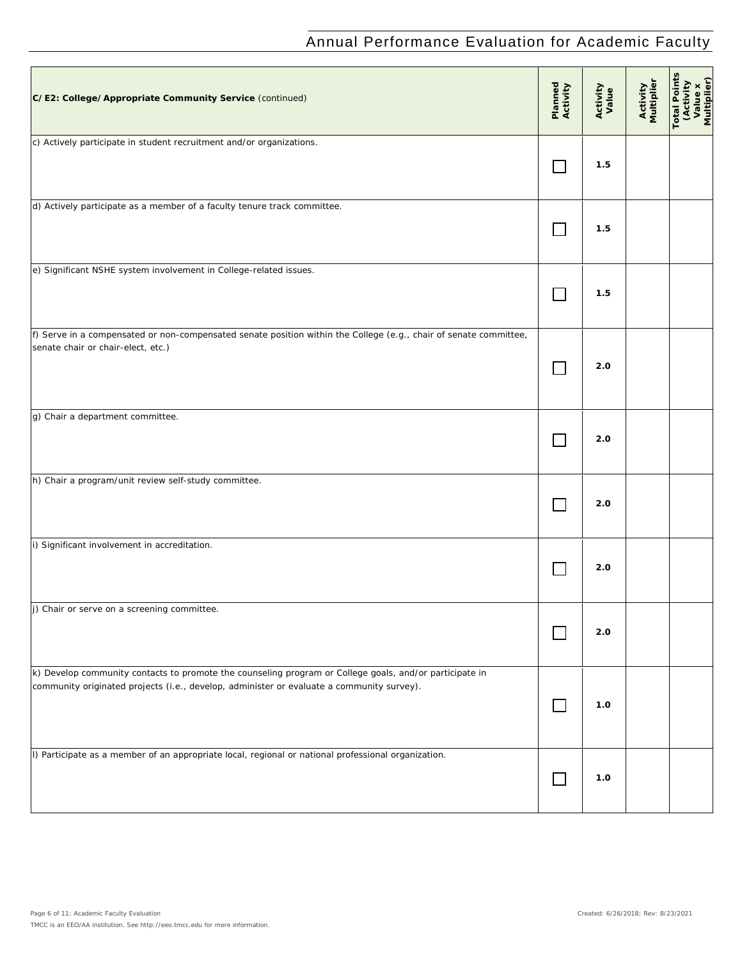| C/E2: College/Appropriate Community Service (continued)                                                                                                                                              | Planned<br>Activity | Activity<br>Value | Activity<br>Multiplier | Total Point<br>(Activity<br>Value x<br>Multiplier) |
|------------------------------------------------------------------------------------------------------------------------------------------------------------------------------------------------------|---------------------|-------------------|------------------------|----------------------------------------------------|
| c) Actively participate in student recruitment and/or organizations.                                                                                                                                 |                     | 1.5               |                        |                                                    |
| d) Actively participate as a member of a faculty tenure track committee.                                                                                                                             |                     | 1.5               |                        |                                                    |
| e) Significant NSHE system involvement in College-related issues.                                                                                                                                    |                     | 1.5               |                        |                                                    |
| f) Serve in a compensated or non-compensated senate position within the College (e.g., chair of senate committee,<br>senate chair or chair-elect, etc.)                                              |                     | 2.0               |                        |                                                    |
| g) Chair a department committee.                                                                                                                                                                     |                     | 2.0               |                        |                                                    |
| h) Chair a program/unit review self-study committee.                                                                                                                                                 |                     | 2.0               |                        |                                                    |
| i) Significant involvement in accreditation.                                                                                                                                                         |                     | 2.0               |                        |                                                    |
| $\overline{J}$ ) Chair or serve on a screening committee.                                                                                                                                            |                     | 2.0               |                        |                                                    |
| k) Develop community contacts to promote the counseling program or College goals, and/or participate in<br>community originated projects (i.e., develop, administer or evaluate a community survey). | $\mathbf{L}$        | 1.0               |                        |                                                    |
| I) Participate as a member of an appropriate local, regional or national professional organization.                                                                                                  | $\Box$              | 1.0               |                        |                                                    |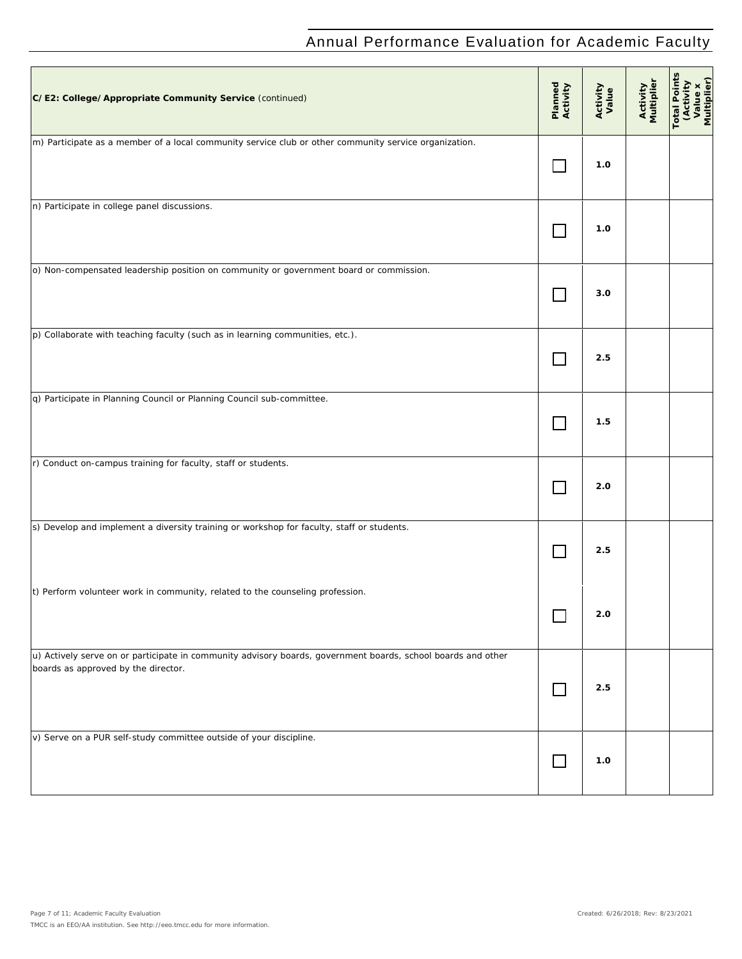| C/E2: College/Appropriate Community Service (continued)                                                                                             | Planned<br>Activity | Activity<br>Value | Activity<br>Multiplier | <b>Total Points</b><br>(Activity<br>Value x<br>Multiplier) |
|-----------------------------------------------------------------------------------------------------------------------------------------------------|---------------------|-------------------|------------------------|------------------------------------------------------------|
| m) Participate as a member of a local community service club or other community service organization.                                               |                     | 1.0               |                        |                                                            |
| n) Participate in college panel discussions.                                                                                                        | $\mathsf{L}$        | 1.0               |                        |                                                            |
| o) Non-compensated leadership position on community or government board or commission.                                                              |                     | 3.0               |                        |                                                            |
| $ p)$ Collaborate with teaching faculty (such as in learning communities, etc.).                                                                    |                     | 2.5               |                        |                                                            |
| q) Participate in Planning Council or Planning Council sub-committee.                                                                               |                     | 1.5               |                        |                                                            |
| r) Conduct on-campus training for faculty, staff or students.                                                                                       |                     | 2.0               |                        |                                                            |
| s) Develop and implement a diversity training or workshop for faculty, staff or students.                                                           |                     | 2.5               |                        |                                                            |
| t) Perform volunteer work in community, related to the counseling profession.                                                                       |                     | 2.0               |                        |                                                            |
| u) Actively serve on or participate in community advisory boards, government boards, school boards and other<br>boards as approved by the director. | <b>I</b>            | 2.5               |                        |                                                            |
| v) Serve on a PUR self-study committee outside of your discipline.                                                                                  | $\Box$              | 1.0               |                        |                                                            |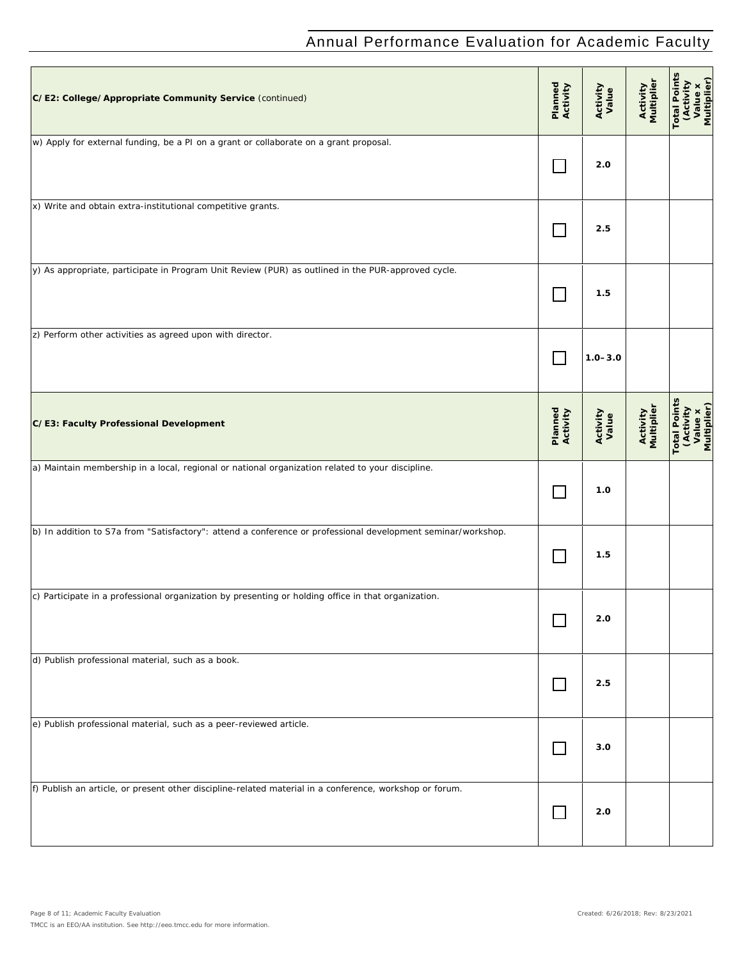| C/E2: College/Appropriate Community Service (continued)                                                      | Planned<br>Activity         | Activity<br>Value | Activity<br>Multiplier | <b>Total Points</b><br>(Activity<br>Value x<br>Multiplier) |
|--------------------------------------------------------------------------------------------------------------|-----------------------------|-------------------|------------------------|------------------------------------------------------------|
| w) Apply for external funding, be a PI on a grant or collaborate on a grant proposal.                        |                             | 2.0               |                        |                                                            |
| x) Write and obtain extra-institutional competitive grants.                                                  |                             | 2.5               |                        |                                                            |
| y) As appropriate, participate in Program Unit Review (PUR) as outlined in the PUR-approved cycle.           |                             | 1.5               |                        |                                                            |
| z) Perform other activities as agreed upon with director.                                                    |                             | $1.0 - 3.0$       |                        |                                                            |
| C/E3: Faculty Professional Development                                                                       | Planned<br>Activity         | Activity<br>Value | Activity<br>Multiplier | <b>Total Points</b><br>(Activity<br>Value x<br>Multiplier) |
| a) Maintain membership in a local, regional or national organization related to your discipline.             |                             | 1.0               |                        |                                                            |
| b) In addition to S7a from "Satisfactory": attend a conference or professional development seminar/workshop. | $\mathcal{L}_{\mathcal{A}}$ | 1.5               |                        |                                                            |
| c) Participate in a professional organization by presenting or holding office in that organization.          |                             | 2.0               |                        |                                                            |
| d) Publish professional material, such as a book.                                                            | $\Box$                      | 2.5               |                        |                                                            |
| e) Publish professional material, such as a peer-reviewed article.                                           | $\Box$                      | 3.0               |                        |                                                            |
| f) Publish an article, or present other discipline-related material in a conference, workshop or forum.      | $\Box$                      | 2.0               |                        |                                                            |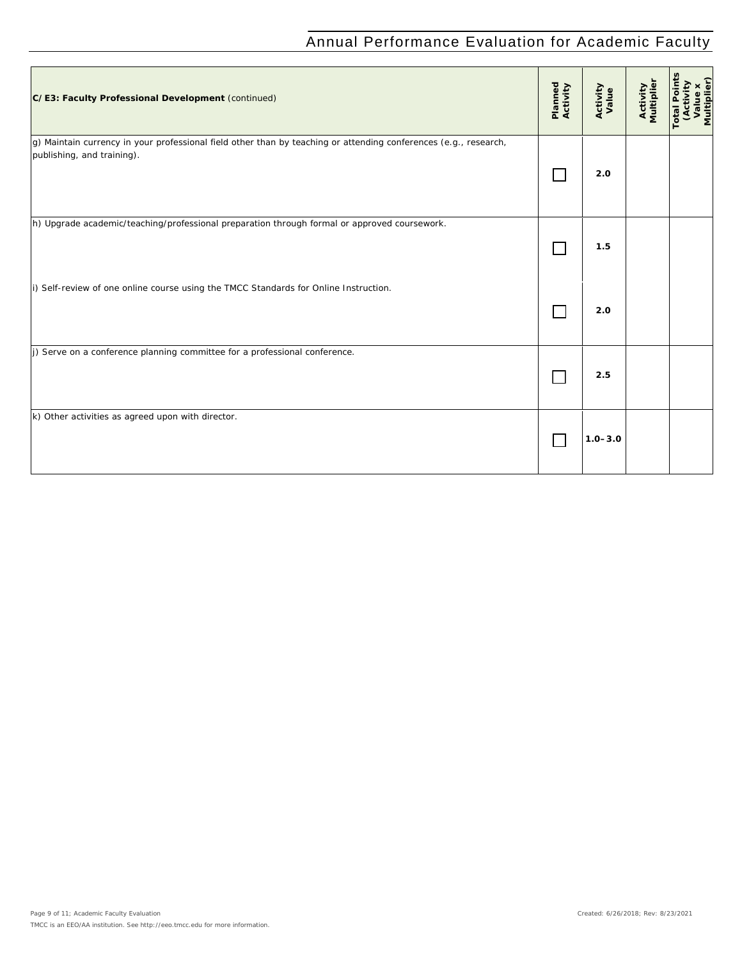| C/E3: Faculty Professional Development (continued)                                                                                             | Planned<br>Activity | Activity<br>Value | Activity<br>Multiplier | Value x<br>Multiplier)<br>Total Poin<br>Activity |
|------------------------------------------------------------------------------------------------------------------------------------------------|---------------------|-------------------|------------------------|--------------------------------------------------|
| g) Maintain currency in your professional field other than by teaching or attending conferences (e.g., research,<br>publishing, and training). |                     | 2.0               |                        |                                                  |
| h) Upgrade academic/teaching/professional preparation through formal or approved coursework.                                                   |                     | 1.5               |                        |                                                  |
| i) Self-review of one online course using the TMCC Standards for Online Instruction.                                                           |                     | 2.0               |                        |                                                  |
| j) Serve on a conference planning committee for a professional conference.                                                                     |                     | 2.5               |                        |                                                  |
| k) Other activities as agreed upon with director.                                                                                              |                     | $1.0 - 3.0$       |                        |                                                  |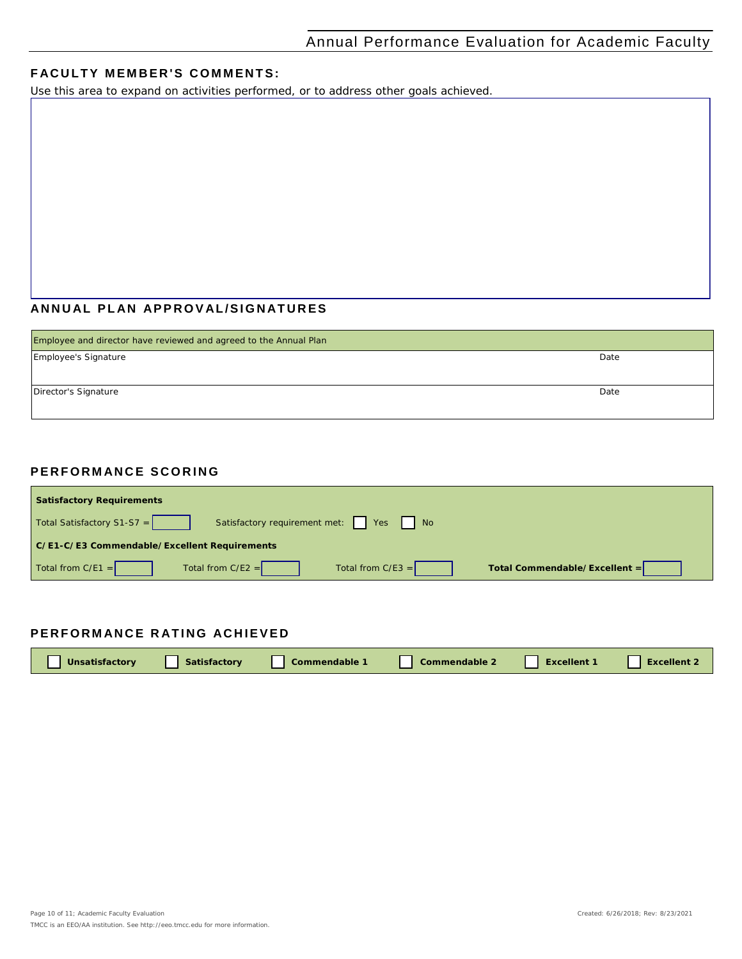### **FACULTY MEMBER'S COMMENTS:**

*Use this area to expand on activities performed, or to address other goals achieved.*

### **ANNUAL PLAN APPROVAL /SIGNATURES**

| Employee and director have reviewed and agreed to the Annual Plan |      |
|-------------------------------------------------------------------|------|
| Employee's Signature                                              | Date |
| Director's Signature                                              | Date |

#### **PERFORMANCE SCORING**

| <b>Satisfactory Requirements</b>             |                                          |                     |                               |  |  |  |
|----------------------------------------------|------------------------------------------|---------------------|-------------------------------|--|--|--|
| Total Satisfactory S1-S7 =                   | Satisfactory requirement met:   Yes   No |                     |                               |  |  |  |
| C/E1-C/E3 Commendable/Excellent Requirements |                                          |                     |                               |  |  |  |
| Total from $C/E1 =$                          | Total from $C/E2 =$                      | Total from $C/E3 =$ | Total Commendable/Excellent = |  |  |  |

### **PERFORMANCE RATING ACHIEVED**

| Unsatisfactory | Satisfactory | Commendable 1 | <b>Commendable 2</b> | <b>Excellent 1</b> | <b>Excellent 2</b> |
|----------------|--------------|---------------|----------------------|--------------------|--------------------|
|----------------|--------------|---------------|----------------------|--------------------|--------------------|